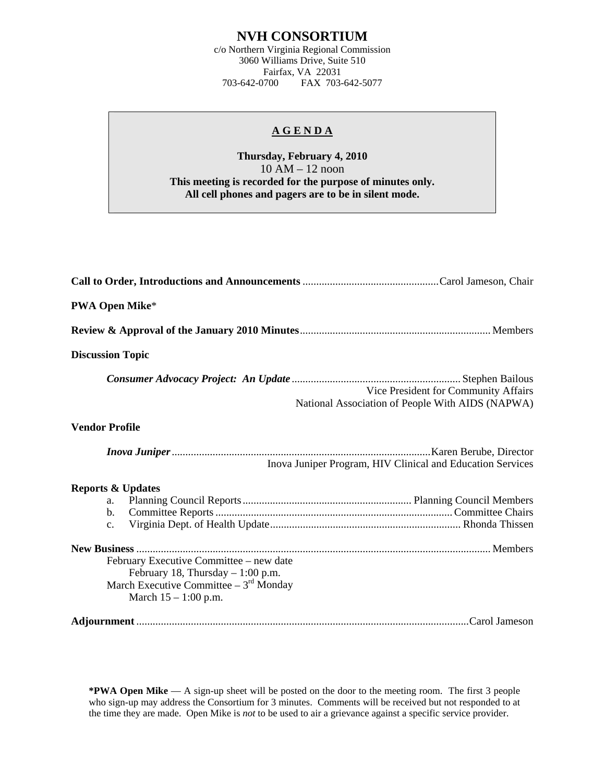## **NVH CONSORTIUM**

c/o Northern Virginia Regional Commission 3060 Williams Drive, Suite 510 Fairfax, VA 22031<br>703-642-0700 FAX 703-FAX 703-642-5077

## **A G E N D A**

## **Thursday, February 4, 2010**  10 AM – 12 noon **This meeting is recorded for the purpose of minutes only. All cell phones and pagers are to be in silent mode.**

| <b>PWA Open Mike*</b>                                                                                                                                   |
|---------------------------------------------------------------------------------------------------------------------------------------------------------|
|                                                                                                                                                         |
| <b>Discussion Topic</b>                                                                                                                                 |
| Vice President for Community Affairs<br>National Association of People With AIDS (NAPWA)                                                                |
| <b>Vendor Profile</b>                                                                                                                                   |
| Inova Juniper Program, HIV Clinical and Education Services                                                                                              |
| <b>Reports &amp; Updates</b><br>a.<br>$\mathbf{b}$ .<br>$\mathbf{c}$ .<br>February Executive Committee – new date<br>February 18, Thursday $-1:00$ p.m. |
| March Executive Committee $-3^{rd}$ Monday<br>March $15 - 1:00$ p.m.                                                                                    |
|                                                                                                                                                         |

**\*PWA Open Mike** — A sign-up sheet will be posted on the door to the meeting room. The first 3 people who sign-up may address the Consortium for 3 minutes. Comments will be received but not responded to at the time they are made. Open Mike is *not* to be used to air a grievance against a specific service provider.